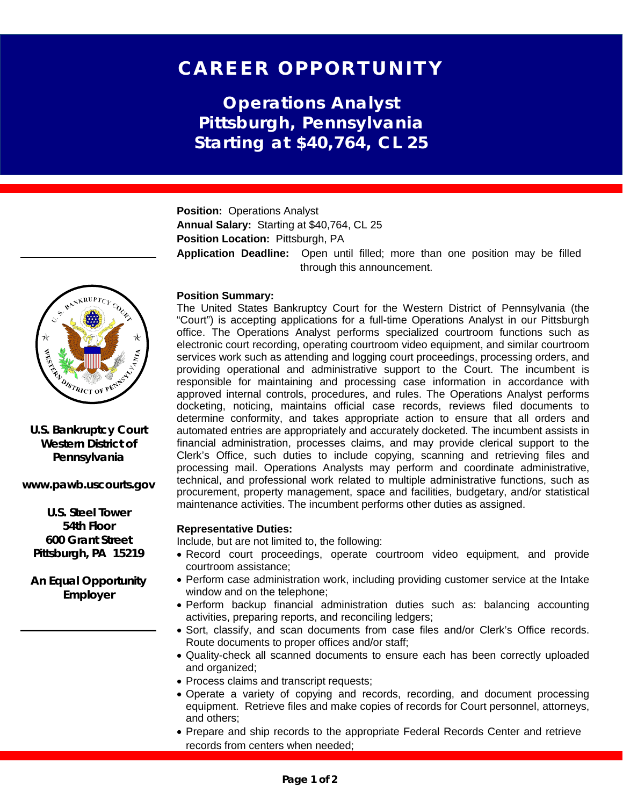# CAREER OPPORTUNITY

**Operations Analyst Pittsburgh, Pennsylvania Starting at \$40,764, CL 25**

**Position:** Operations Analyst **Annual Salary:** Starting at \$40,764, CL 25 **Position Location: Pittsburgh, PA Application Deadline:** Open until filled; more than one position may be filled through this announcement.

## **Position Summary:**

The United States Bankruptcy Court for the Western District of Pennsylvania (the "Court") is accepting applications for a full-time Operations Analyst in our Pittsburgh office. The Operations Analyst performs specialized courtroom functions such as electronic court recording, operating courtroom video equipment, and similar courtroom services work such as attending and logging court proceedings, processing orders, and providing operational and administrative support to the Court. The incumbent is responsible for maintaining and processing case information in accordance with approved internal controls, procedures, and rules. The Operations Analyst performs docketing, noticing, maintains official case records, reviews filed documents to determine conformity, and takes appropriate action to ensure that all orders and automated entries are appropriately and accurately docketed. The incumbent assists in financial administration, processes claims, and may provide clerical support to the Clerk's Office, such duties to include copying, scanning and retrieving files and processing mail. Operations Analysts may perform and coordinate administrative, technical, and professional work related to multiple administrative functions, such as procurement, property management, space and facilities, budgetary, and/or statistical maintenance activities. The incumbent performs other duties as assigned.

### **Representative Duties:**

Include, but are not limited to, the following:

- Record court proceedings, operate courtroom video equipment, and provide courtroom assistance;
- Perform case administration work, including providing customer service at the Intake window and on the telephone;
- Perform backup financial administration duties such as: balancing accounting activities, preparing reports, and reconciling ledgers;
- Sort, classify, and scan documents from case files and/or Clerk's Office records. Route documents to proper offices and/or staff;
- Quality-check all scanned documents to ensure each has been correctly uploaded and organized;
- Process claims and transcript requests;
- Operate a variety of copying and records, recording, and document processing equipment. Retrieve files and make copies of records for Court personnel, attorneys, and others;
- Prepare and ship records to the appropriate Federal Records Center and retrieve records from centers when needed;



**U.S. Bankruptcy Court Western District of Pennsylvania**

**www.pawb.uscourts.gov**

**U.S. Steel Tower 54th Floor 600 Grant Street Pittsburgh, PA 15219**

**An Equal Opportunity Employer**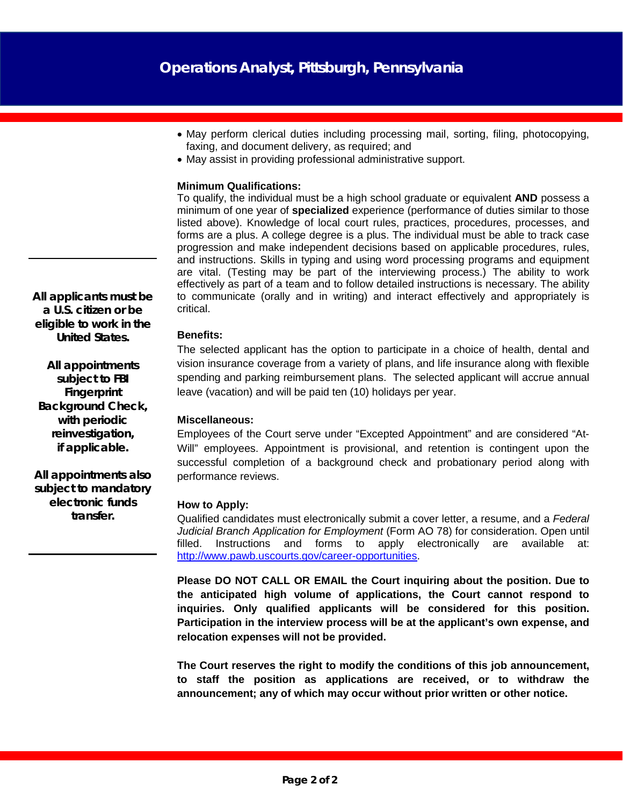- May perform clerical duties including processing mail, sorting, filing, photocopying, faxing, and document delivery, as required; and
- May assist in providing professional administrative support.

### **Minimum Qualifications:**

To qualify, the individual must be a high school graduate or equivalent **AND** possess a minimum of one year of **specialized** experience (performance of duties similar to those listed above). Knowledge of local court rules, practices, procedures, processes, and forms are a plus. A college degree is a plus. The individual must be able to track case progression and make independent decisions based on applicable procedures, rules, and instructions. Skills in typing and using word processing programs and equipment are vital. (Testing may be part of the interviewing process.) The ability to work effectively as part of a team and to follow detailed instructions is necessary. The ability to communicate (orally and in writing) and interact effectively and appropriately is critical.

## **Benefits:**

The selected applicant has the option to participate in a choice of health, dental and vision insurance coverage from a variety of plans, and life insurance along with flexible spending and parking reimbursement plans. The selected applicant will accrue annual leave (vacation) and will be paid ten (10) holidays per year.

### **Miscellaneous:**

Employees of the Court serve under "Excepted Appointment" and are considered "At-Will" employees. Appointment is provisional, and retention is contingent upon the successful completion of a background check and probationary period along with performance reviews.

### **How to Apply:**

Qualified candidates must electronically submit a cover letter, a resume, and a *Federal Judicial Branch Application for Employment* (Form AO 78) for consideration. Open until filled. Instructions and forms to apply electronically are available at: [http://www.pawb.uscourts.gov/career-opportunities.](http://www.pawb.uscourts.gov/career-opportunities)

**Please DO NOT CALL OR EMAIL the Court inquiring about the position. Due to the anticipated high volume of applications, the Court cannot respond to inquiries. Only qualified applicants will be considered for this position. Participation in the interview process will be at the applicant's own expense, and relocation expenses will not be provided.**

**The Court reserves the right to modify the conditions of this job announcement, to staff the position as applications are received, or to withdraw the announcement; any of which may occur without prior written or other notice.**

*All applicants must be a U.S. citizen or be eligible to work in the United States.*

*All appointments subject to FBI Fingerprint Background Check, with periodic reinvestigation, if applicable.*

*All appointments also subject to mandatory electronic funds transfer.*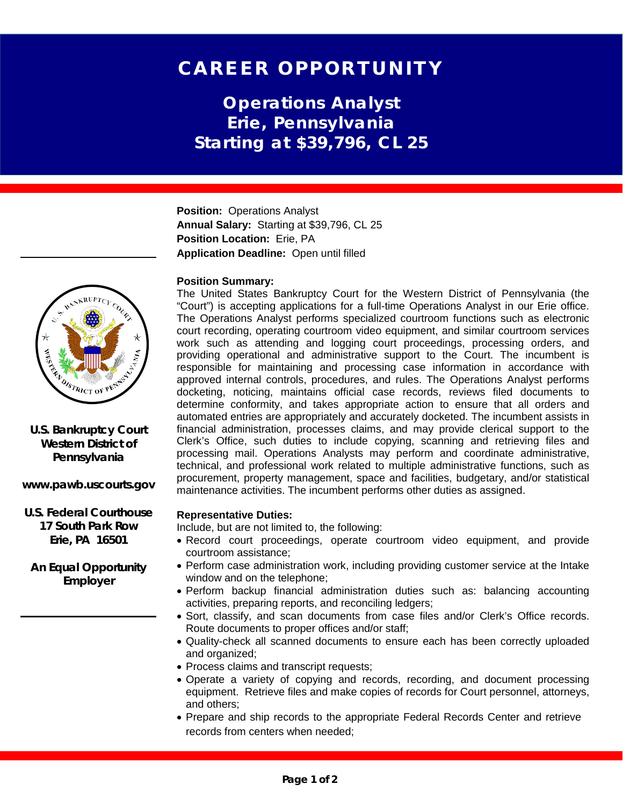# CAREER OPPORTUNITY

**Operations Analyst Erie, Pennsylvania Starting at \$39,796, CL 25**

**Position:** Operations Analyst **Annual Salary:** Starting at \$39,796, CL 25 **Position Location:** Erie, PA **Application Deadline:** Open until filled

## **Position Summary:**

The United States Bankruptcy Court for the Western District of Pennsylvania (the "Court") is accepting applications for a full-time Operations Analyst in our Erie office. The Operations Analyst performs specialized courtroom functions such as electronic court recording, operating courtroom video equipment, and similar courtroom services work such as attending and logging court proceedings, processing orders, and providing operational and administrative support to the Court. The incumbent is responsible for maintaining and processing case information in accordance with approved internal controls, procedures, and rules. The Operations Analyst performs docketing, noticing, maintains official case records, reviews filed documents to determine conformity, and takes appropriate action to ensure that all orders and automated entries are appropriately and accurately docketed. The incumbent assists in financial administration, processes claims, and may provide clerical support to the Clerk's Office, such duties to include copying, scanning and retrieving files and processing mail. Operations Analysts may perform and coordinate administrative, technical, and professional work related to multiple administrative functions, such as procurement, property management, space and facilities, budgetary, and/or statistical maintenance activities. The incumbent performs other duties as assigned.

## **Representative Duties:**

Include, but are not limited to, the following:

- Record court proceedings, operate courtroom video equipment, and provide courtroom assistance;
- Perform case administration work, including providing customer service at the Intake window and on the telephone;
- Perform backup financial administration duties such as: balancing accounting activities, preparing reports, and reconciling ledgers;
- Sort, classify, and scan documents from case files and/or Clerk's Office records. Route documents to proper offices and/or staff;
- Quality-check all scanned documents to ensure each has been correctly uploaded and organized;
- Process claims and transcript requests;
- Operate a variety of copying and records, recording, and document processing equipment. Retrieve files and make copies of records for Court personnel, attorneys, and others;
- Prepare and ship records to the appropriate Federal Records Center and retrieve records from centers when needed;



**U.S. Bankruptcy Court Western District of Pennsylvania**

**www.pawb.uscourts.gov**

**U.S. Federal Courthouse 17 South Park Row Erie, PA 16501**

**An Equal Opportunity Employer**